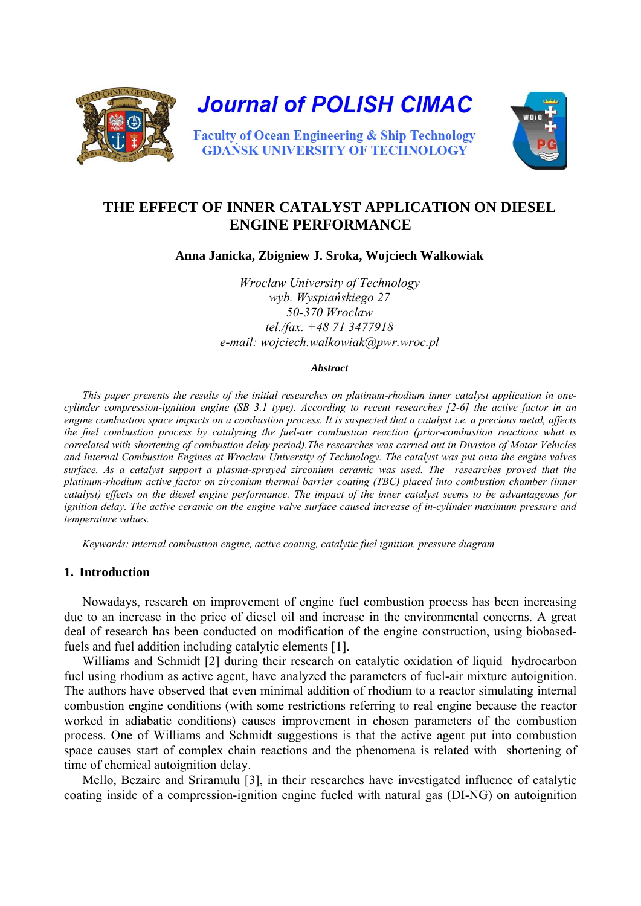

# **THE EFFECT OF INNER CATALYST APPLICATION ON DIESEL ENGINE PERFORMANCE**

**Anna Janicka, Zbigniew J. Sroka, Wojciech Walkowiak** 

*Wrocław University of Technology wyb. Wyspiańskiego 27 50-370 Wroclaw tel./fax. +48 71 3477918 e-mail: wojciech.walkowiak@pwr.wroc.pl* 

#### *Abstract*

*This paper presents the results of the initial researches on platinum-rhodium inner catalyst application in onecylinder compression-ignition engine (SB 3.1 type). According to recent researches [2-6] the active factor in an engine combustion space impacts on a combustion process. It is suspected that a catalyst i.e. a precious metal, affects the fuel combustion process by catalyzing the fuel-air combustion reaction (prior-combustion reactions what is correlated with shortening of combustion delay period).The researches was carried out in Division of Motor Vehicles and Internal Combustion Engines at Wroclaw University of Technology. The catalyst was put onto the engine valves surface. As a catalyst support a plasma-sprayed zirconium ceramic was used. The researches proved that the platinum-rhodium active factor on zirconium thermal barrier coating (TBC) placed into combustion chamber (inner catalyst) effects on the diesel engine performance. The impact of the inner catalyst seems to be advantageous for ignition delay. The active ceramic on the engine valve surface caused increase of in-cylinder maximum pressure and temperature values.* 

*Keywords: internal combustion engine, active coating, catalytic fuel ignition, pressure diagram* 

### **1. Introduction**

Nowadays, research on improvement of engine fuel combustion process has been increasing due to an increase in the price of diesel oil and increase in the environmental concerns. A great deal of research has been conducted on modification of the engine construction, using biobasedfuels and fuel addition including catalytic elements [1].

Williams and Schmidt [2] during their research on catalytic oxidation of liquid hydrocarbon fuel using rhodium as active agent, have analyzed the parameters of fuel-air mixture autoignition. The authors have observed that even minimal addition of rhodium to a reactor simulating internal combustion engine conditions (with some restrictions referring to real engine because the reactor worked in adiabatic conditions) causes improvement in chosen parameters of the combustion process. One of Williams and Schmidt suggestions is that the active agent put into combustion space causes start of complex chain reactions and the phenomena is related with shortening of time of chemical autoignition delay.

Mello, Bezaire and Sriramulu [3], in their researches have investigated influence of catalytic coating inside of a compression-ignition engine fueled with natural gas (DI-NG) on autoignition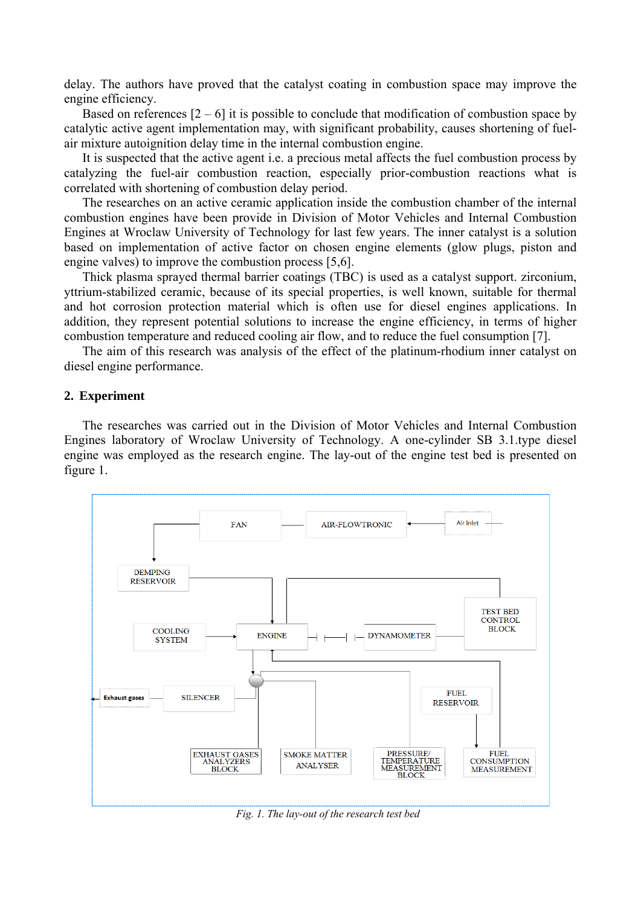delay. The authors have proved that the catalyst coating in combustion space may improve the engine efficiency.

Based on references  $[2 - 6]$  it is possible to conclude that modification of combustion space by catalytic active agent implementation may, with significant probability, causes shortening of fuelair mixture autoignition delay time in the internal combustion engine.

It is suspected that the active agent i.e. a precious metal affects the fuel combustion process by catalyzing the fuel-air combustion reaction, especially prior-combustion reactions what is correlated with shortening of combustion delay period.

The researches on an active ceramic application inside the combustion chamber of the internal combustion engines have been provide in Division of Motor Vehicles and Internal Combustion Engines at Wroclaw University of Technology for last few years. The inner catalyst is a solution based on implementation of active factor on chosen engine elements (glow plugs, piston and engine valves) to improve the combustion process [5,6].

Thick plasma sprayed thermal barrier coatings (TBC) is used as a catalyst support. zirconium, yttrium-stabilized ceramic, because of its special properties, is well known, suitable for thermal and hot corrosion protection material which is often use for diesel engines applications. In addition, they represent potential solutions to increase the engine efficiency, in terms of higher combustion temperature and reduced cooling air flow, and to reduce the fuel consumption [7].

The aim of this research was analysis of the effect of the platinum-rhodium inner catalyst on diesel engine performance.

#### **2. Experiment**

The researches was carried out in the Division of Motor Vehicles and Internal Combustion Engines laboratory of Wroclaw University of Technology. A one-cylinder SB 3.1.type diesel engine was employed as the research engine. The lay-out of the engine test bed is presented on figure 1.



*Fig. 1. The lay-out of the research test bed*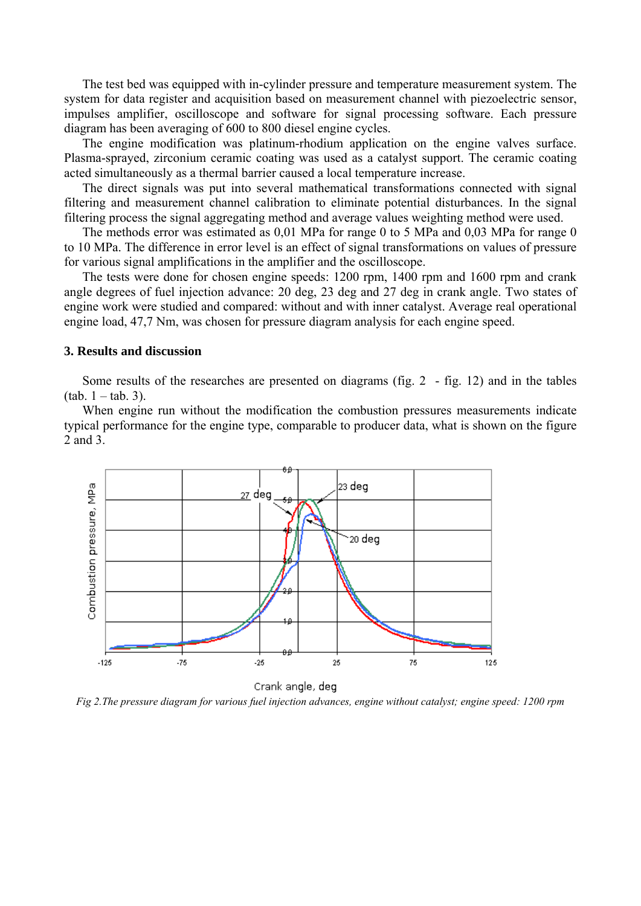The test bed was equipped with in-cylinder pressure and temperature measurement system. The system for data register and acquisition based on measurement channel with piezoelectric sensor, impulses amplifier, oscilloscope and software for signal processing software. Each pressure diagram has been averaging of 600 to 800 diesel engine cycles.

The engine modification was platinum-rhodium application on the engine valves surface. Plasma-sprayed, zirconium ceramic coating was used as a catalyst support. The ceramic coating acted simultaneously as a thermal barrier caused a local temperature increase.

The direct signals was put into several mathematical transformations connected with signal filtering and measurement channel calibration to eliminate potential disturbances. In the signal filtering process the signal aggregating method and average values weighting method were used.

The methods error was estimated as 0,01 MPa for range 0 to 5 MPa and 0,03 MPa for range 0 to 10 MPa. The difference in error level is an effect of signal transformations on values of pressure for various signal amplifications in the amplifier and the oscilloscope.

The tests were done for chosen engine speeds: 1200 rpm, 1400 rpm and 1600 rpm and crank angle degrees of fuel injection advance: 20 deg, 23 deg and 27 deg in crank angle. Two states of engine work were studied and compared: without and with inner catalyst. Average real operational engine load, 47,7 Nm, was chosen for pressure diagram analysis for each engine speed.

## **3. Results and discussion**

Some results of the researches are presented on diagrams (fig. 2 - fig. 12) and in the tables  $(tab. 1 - tab. 3)$ .

When engine run without the modification the combustion pressures measurements indicate typical performance for the engine type, comparable to producer data, what is shown on the figure 2 and 3.



*Fig 2.The pressure diagram for various fuel injection advances, engine without catalyst; engine speed: 1200 rpm*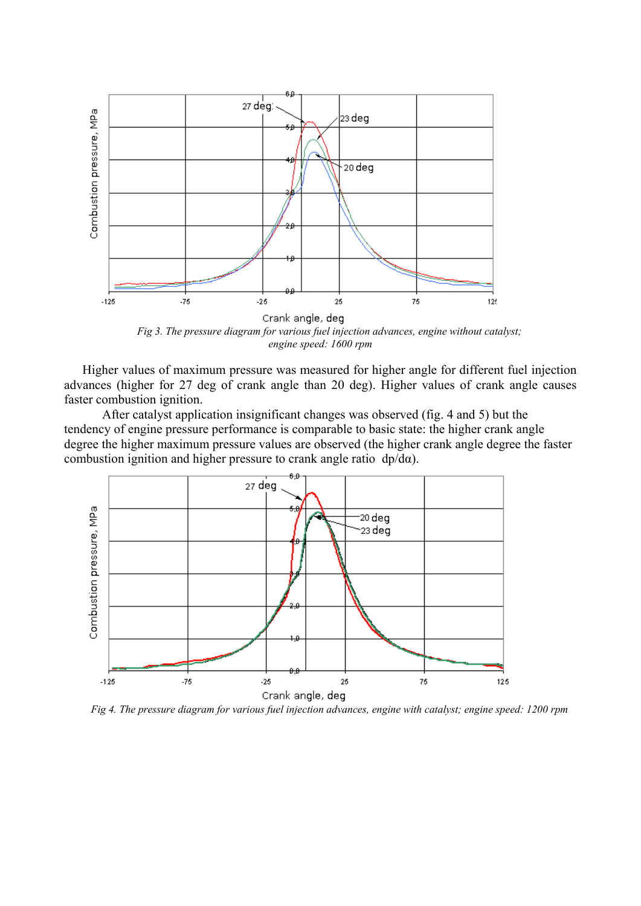

*Fig 3. The pressure diagram for various fuel injection advances, engine without catalyst; engine speed: 1600 rpm* 

Higher values of maximum pressure was measured for higher angle for different fuel injection advances (higher for 27 deg of crank angle than 20 deg). Higher values of crank angle causes faster combustion ignition.

 After catalyst application insignificant changes was observed (fig. 4 and 5) but the tendency of engine pressure performance is comparable to basic state: the higher crank angle degree the higher maximum pressure values are observed (the higher crank angle degree the faster combustion ignition and higher pressure to crank angle ratio  $dp/d\alpha$ ).



*Fig 4. The pressure diagram for various fuel injection advances, engine with catalyst; engine speed: 1200 rpm*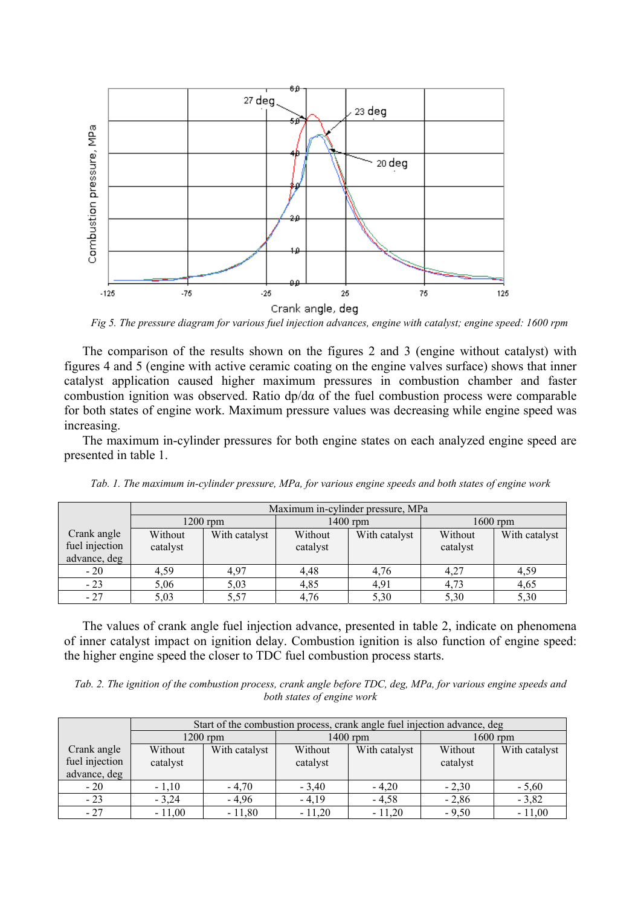

*Fig 5. The pressure diagram for various fuel injection advances, engine with catalyst; engine speed: 1600 rpm*

The comparison of the results shown on the figures 2 and 3 (engine without catalyst) with figures 4 and 5 (engine with active ceramic coating on the engine valves surface) shows that inner catalyst application caused higher maximum pressures in combustion chamber and faster combustion ignition was observed. Ratio dp/dα of the fuel combustion process were comparable for both states of engine work. Maximum pressure values was decreasing while engine speed was increasing.

The maximum in-cylinder pressures for both engine states on each analyzed engine speed are presented in table 1.

|                                               | Maximum in-cylinder pressure, MPa |               |                     |               |                     |               |  |
|-----------------------------------------------|-----------------------------------|---------------|---------------------|---------------|---------------------|---------------|--|
|                                               | $1200$ rpm                        |               | $1400$ rpm          |               | $1600$ rpm          |               |  |
| Crank angle<br>fuel injection<br>advance, deg | Without<br>catalyst               | With catalyst | Without<br>catalyst | With catalyst | Without<br>catalyst | With catalyst |  |
| $-20$                                         | 4,59                              | 4,97          | 4,48                | 4,76          | 4,27                | 4,59          |  |
| $-23$                                         | 5.06                              | 5,03          | 4,85                | 4,91          | 4,73                | 4,65          |  |
| $-27$                                         | 5,03                              | 5,57          | 4,76                | 5,30          | 5,30                | 5,30          |  |

*Tab. 1. The maximum in-cylinder pressure, MPa, for various engine speeds and both states of engine work* 

The values of crank angle fuel injection advance, presented in table 2, indicate on phenomena of inner catalyst impact on ignition delay. Combustion ignition is also function of engine speed: the higher engine speed the closer to TDC fuel combustion process starts.

*Tab. 2. The ignition of the combustion process, crank angle before TDC, deg, MPa, for various engine speeds and both states of engine work* 

|                                               | Start of the combustion process, crank angle fuel injection advance, deg |               |                     |               |                     |               |  |
|-----------------------------------------------|--------------------------------------------------------------------------|---------------|---------------------|---------------|---------------------|---------------|--|
|                                               | $1200$ rpm                                                               |               | $1400$ rpm          |               | $1600$ rpm          |               |  |
| Crank angle<br>fuel injection<br>advance, deg | Without<br>catalyst                                                      | With catalyst | Without<br>catalyst | With catalyst | Without<br>catalyst | With catalyst |  |
| $-20$                                         | $-1,10$                                                                  | $-4,70$       | $-3,40$             | $-4.20$       | $-2.30$             | $-5,60$       |  |
| $-23$                                         | $-3,24$                                                                  | $-4,96$       | $-4,19$             | $-4,58$       | $-2,86$             | $-3,82$       |  |
| $-27$                                         | $-11,00$                                                                 | $-11,80$      | $-11,20$            | $-11,20$      | $-9,50$             | $-11,00$      |  |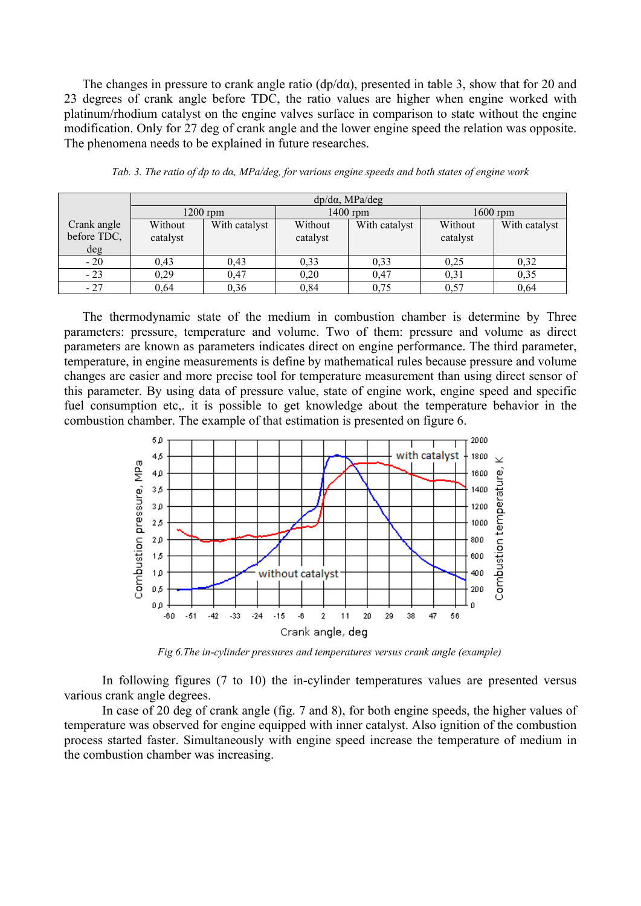The changes in pressure to crank angle ratio ( $dp/d\alpha$ ), presented in table 3, show that for 20 and 23 degrees of crank angle before TDC, the ratio values are higher when engine worked with platinum/rhodium catalyst on the engine valves surface in comparison to state without the engine modification. Only for 27 deg of crank angle and the lower engine speed the relation was opposite. The phenomena needs to be explained in future researches.

|             | $dp/d\alpha$ , MPa/deg |               |          |               |          |               |
|-------------|------------------------|---------------|----------|---------------|----------|---------------|
|             | $1200$ rpm             |               | 1400 rpm |               | 1600 rpm |               |
| Crank angle | Without                | With catalyst | Without  | With catalyst | Without  | With catalyst |
| before TDC, | catalyst               |               | catalyst |               | catalyst |               |
| deg         |                        |               |          |               |          |               |
| $-20$       | 0,43                   | 0.43          | 0,33     | 0,33          | 0,25     | 0,32          |
| $-23$       | 0.29                   | 0,47          | 0,20     | 0.47          | 0,31     | 0,35          |
| $-27$       | 0.64                   | 0,36          | 0,84     | 0,75          | 0,57     | 0,64          |

*Tab. 3. The ratio of dp to dα, MPa/deg, for various engine speeds and both states of engine work* 

The thermodynamic state of the medium in combustion chamber is determine by Three parameters: pressure, temperature and volume. Two of them: pressure and volume as direct parameters are known as parameters indicates direct on engine performance. The third parameter, temperature, in engine measurements is define by mathematical rules because pressure and volume changes are easier and more precise tool for temperature measurement than using direct sensor of this parameter. By using data of pressure value, state of engine work, engine speed and specific fuel consumption etc,. it is possible to get knowledge about the temperature behavior in the combustion chamber. The example of that estimation is presented on figure 6.



*Fig 6.The in-cylinder pressures and temperatures versus crank angle (example)*

In following figures (7 to 10) the in-cylinder temperatures values are presented versus various crank angle degrees.

In case of 20 deg of crank angle (fig. 7 and 8), for both engine speeds, the higher values of temperature was observed for engine equipped with inner catalyst. Also ignition of the combustion process started faster. Simultaneously with engine speed increase the temperature of medium in the combustion chamber was increasing.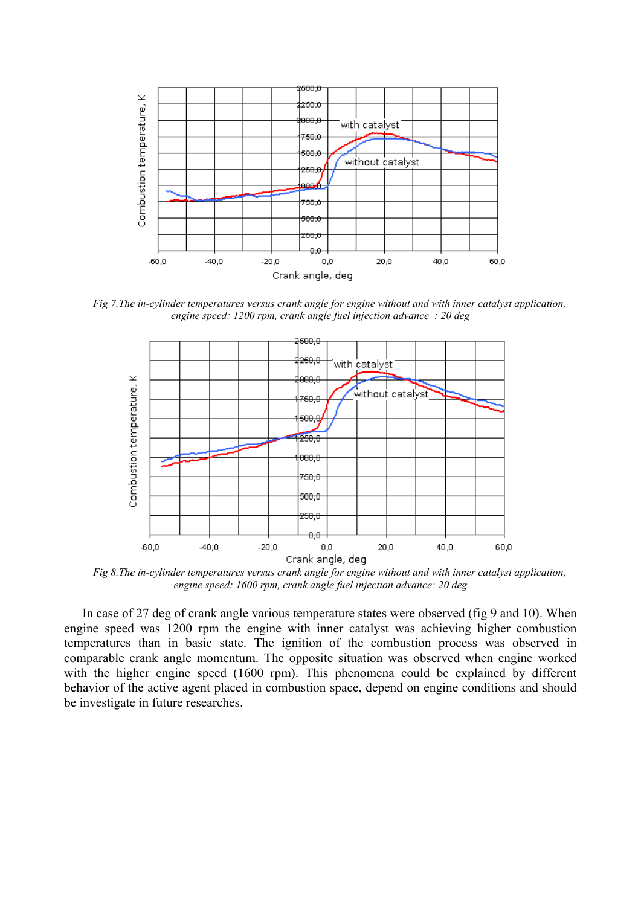

*Fig 7.The in-cylinder temperatures versus crank angle for engine without and with inner catalyst application, engine speed: 1200 rpm, crank angle fuel injection advance : 20 deg* 



*Fig 8.The in-cylinder temperatures versus crank angle for engine without and with inner catalyst application, engine speed: 1600 rpm, crank angle fuel injection advance: 20 deg* 

In case of 27 deg of crank angle various temperature states were observed (fig 9 and 10). When engine speed was 1200 rpm the engine with inner catalyst was achieving higher combustion temperatures than in basic state. The ignition of the combustion process was observed in comparable crank angle momentum. The opposite situation was observed when engine worked with the higher engine speed (1600 rpm). This phenomena could be explained by different behavior of the active agent placed in combustion space, depend on engine conditions and should be investigate in future researches.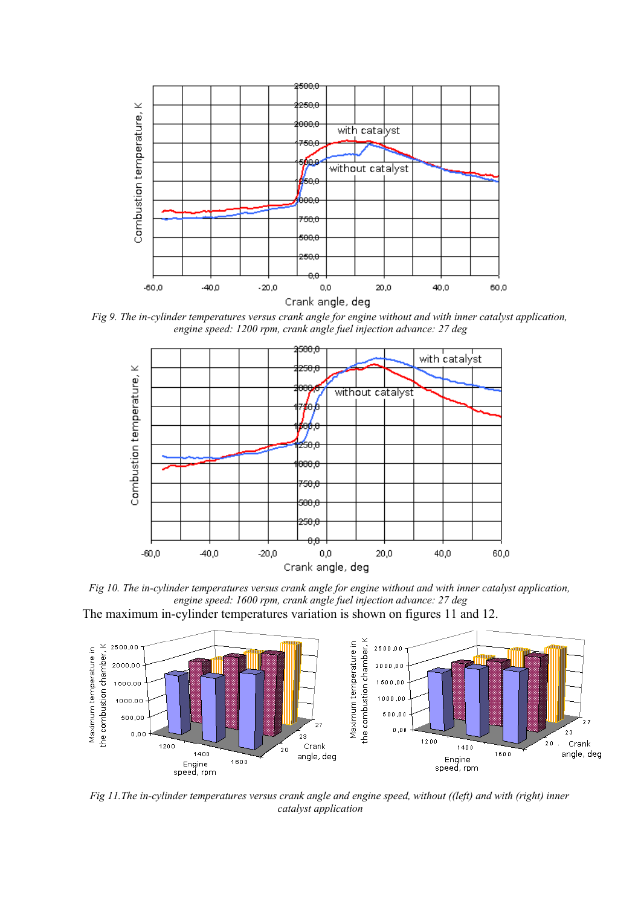

*Fig 9. The in-cylinder temperatures versus crank angle for engine without and with inner catalyst application, engine speed: 1200 rpm, crank angle fuel injection advance: 27 deg* 



*Fig 10. The in-cylinder temperatures versus crank angle for engine without and with inner catalyst application, engine speed: 1600 rpm, crank angle fuel injection advance: 27 deg*  The maximum in-cylinder temperatures variation is shown on figures 11 and 12.



*Fig 11.The in-cylinder temperatures versus crank angle and engine speed, without ((left) and with (right) inner catalyst application*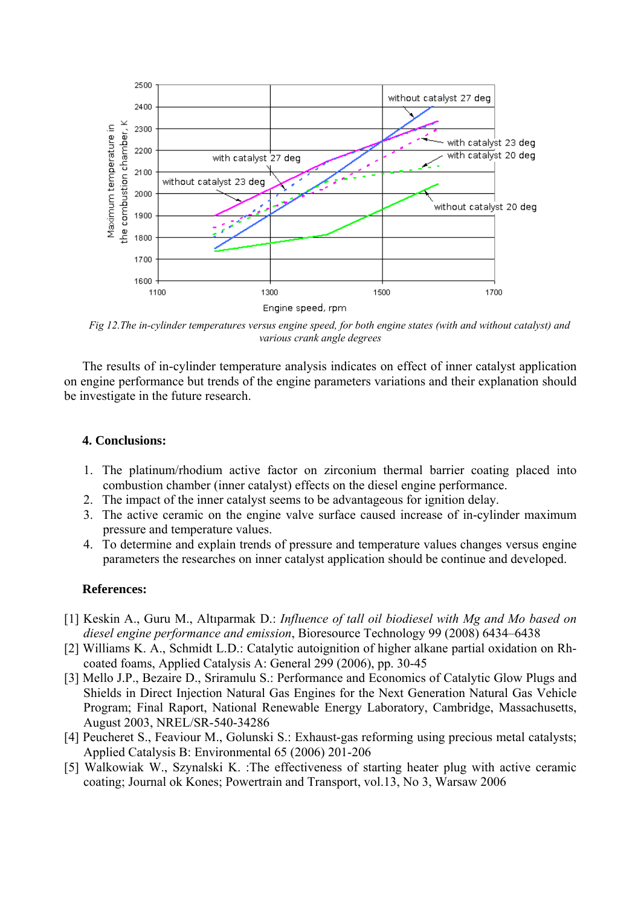

*Fig 12.The in-cylinder temperatures versus engine speed, for both engine states (with and without catalyst) and various crank angle degrees* 

The results of in-cylinder temperature analysis indicates on effect of inner catalyst application on engine performance but trends of the engine parameters variations and their explanation should be investigate in the future research.

## **4. Conclusions:**

- 1. The platinum/rhodium active factor on zirconium thermal barrier coating placed into combustion chamber (inner catalyst) effects on the diesel engine performance.
- 2. The impact of the inner catalyst seems to be advantageous for ignition delay.
- 3. The active ceramic on the engine valve surface caused increase of in-cylinder maximum pressure and temperature values.
- 4. To determine and explain trends of pressure and temperature values changes versus engine parameters the researches on inner catalyst application should be continue and developed.

## **References:**

- [1] Keskin A., Guru M., Altıparmak D.: *Influence of tall oil biodiesel with Mg and Mo based on diesel engine performance and emission*, Bioresource Technology 99 (2008) 6434–6438
- [2] Williams K. A., Schmidt L.D.: Catalytic autoignition of higher alkane partial oxidation on Rhcoated foams, Applied Catalysis A: General 299 (2006), pp. 30-45
- [3] Mello J.P., Bezaire D., Sriramulu S.: Performance and Economics of Catalytic Glow Plugs and Shields in Direct Injection Natural Gas Engines for the Next Generation Natural Gas Vehicle Program; Final Raport, National Renewable Energy Laboratory, Cambridge, Massachusetts, August 2003, NREL/SR-540-34286
- [4] Peucheret S., Feaviour M., Golunski S.: Exhaust-gas reforming using precious metal catalysts; Applied Catalysis B: Environmental 65 (2006) 201-206
- [5] Walkowiak W., Szynalski K. :The effectiveness of starting heater plug with active ceramic coating; Journal ok Kones; Powertrain and Transport, vol.13, No 3, Warsaw 2006